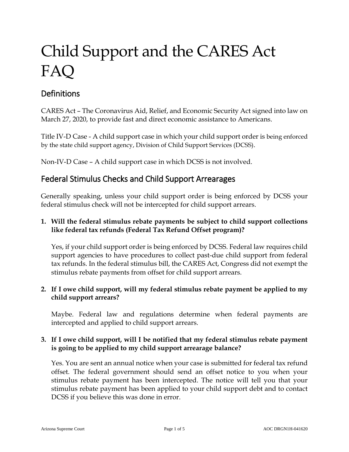# Child Support and the CARES Act FAQ

# **Definitions**

CARES Act – The Coronavirus Aid, Relief, and Economic Security Act signed into law on March 27, 2020, to provide fast and direct economic assistance to Americans.

Title IV-D Case - A child support case in which your child support order is being enforced by the state child support agency, Division of Child Support Services (DCSS).

Non-IV-D Case – A child support case in which DCSS is not involved.

# Federal Stimulus Checks and Child Support Arrearages

Generally speaking, unless your child support order is being enforced by DCSS your federal stimulus check will not be intercepted for child support arrears.

#### **1. Will the federal stimulus rebate payments be subject to child support collections like federal tax refunds (Federal Tax Refund Offset program)?**

Yes, if your child support order is being enforced by DCSS. Federal law requires child support agencies to have procedures to collect past-due child support from federal tax refunds. In the federal stimulus bill, the CARES Act, Congress did not exempt the stimulus rebate payments from offset for child support arrears.

#### **2. If I owe child support, will my federal stimulus rebate payment be applied to my child support arrears?**

Maybe. Federal law and regulations determine when federal payments are intercepted and applied to child support arrears.

#### **3. If I owe child support, will I be notified that my federal stimulus rebate payment is going to be applied to my child support arrearage balance?**

Yes. You are sent an annual notice when your case is submitted for federal tax refund offset. The federal government should send an offset notice to you when your stimulus rebate payment has been intercepted. The notice will tell you that your stimulus rebate payment has been applied to your child support debt and to contact DCSS if you believe this was done in error.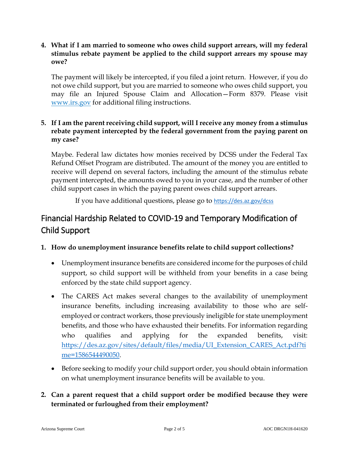#### **4. What if I am married to someone who owes child support arrears, will my federal stimulus rebate payment be applied to the child support arrears my spouse may owe?**

The payment will likely be intercepted, if you filed a joint return. However, if you do not owe child support, but you are married to someone who owes child support, you may file an Injured Spouse Claim and Allocation—Form 8379. Please visit [www.irs.gov](http://www.irs.gov/) for additional filing instructions.

#### **5. If I am the parent receiving child support, will I receive any money from a stimulus rebate payment intercepted by the federal government from the paying parent on my case?**

Maybe. Federal law dictates how monies received by DCSS under the Federal Tax Refund Offset Program are distributed. The amount of the money you are entitled to receive will depend on several factors, including the amount of the stimulus rebate payment intercepted, the amounts owed to you in your case, and the number of other child support cases in which the paying parent owes child support arrears.

If you have additional questions, please go to <https://des.az.gov/dcss>

# Financial Hardship Related to COVID-19 and Temporary Modification of Child Support

#### **1. How do unemployment insurance benefits relate to child support collections?**

- Unemployment insurance benefits are considered income for the purposes of child support, so child support will be withheld from your benefits in a case being enforced by the state child support agency.
- The CARES Act makes several changes to the availability of unemployment insurance benefits, including increasing availability to those who are selfemployed or contract workers, those previously ineligible for state unemployment benefits, and those who have exhausted their benefits. For information regarding who qualifies and applying for the expanded benefits, visit: [https://des.az.gov/sites/default/files/media/UI\\_Extension\\_CARES\\_Act.pdf?ti](https://des.az.gov/sites/default/files/media/UI_Extension_CARES_Act.pdf?time=1586544490050) [me=1586544490050.](https://des.az.gov/sites/default/files/media/UI_Extension_CARES_Act.pdf?time=1586544490050)
- Before seeking to modify your child support order, you should obtain information on what unemployment insurance benefits will be available to you.

# **2. Can a parent request that a child support order be modified because they were terminated or furloughed from their employment?**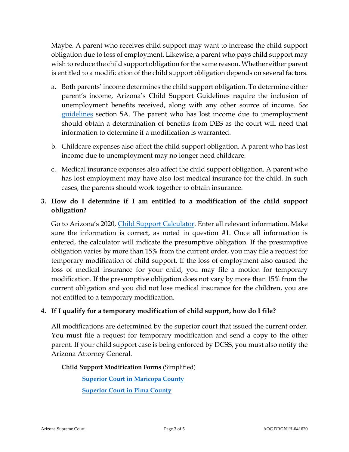Maybe. A parent who receives child support may want to increase the child support obligation due to loss of employment. Likewise, a parent who pays child support may wish to reduce the child support obligation for the same reason. Whether either parent is entitled to a modification of the child support obligation depends on several factors.

- a. Both parents' income determines the child support obligation. To determine either parent's income, Arizona's Child Support Guidelines require the inclusion of unemployment benefits received, along with any other source of income. *See* [guidelines](http://www.azcourts.gov/Portals/34/Forms/FamilyLaw/AOCDRS10H2018.pdf) section 5A. The parent who has lost income due to unemployment should obtain a determination of benefits from DES as the court will need that information to determine if a modification is warranted.
- b. Childcare expenses also affect the child support obligation. A parent who has lost income due to unemployment may no longer need childcare.
- c. Medical insurance expenses also affect the child support obligation. A parent who has lost employment may have also lost medical insurance for the child. In such cases, the parents should work together to obtain insurance.

# **3. How do I determine if I am entitled to a modification of the child support obligation?**

Go to Arizona's 2020, [Child Support Calculator.](https://www.azcourts.gov/familylaw/2018-Child-Support-Calculator) Enter all relevant information. Make sure the information is correct, as noted in question #1. Once all information is entered, the calculator will indicate the presumptive obligation. If the presumptive obligation varies by more than 15% from the current order, you may file a request for temporary modification of child support. If the loss of employment also caused the loss of medical insurance for your child, you may file a motion for temporary modification. If the presumptive obligation does not vary by more than 15% from the current obligation and you did not lose medical insurance for the children, you are not entitled to a temporary modification.

#### **4. If I qualify for a temporary modification of child support, how do I file?**

All modifications are determined by the superior court that issued the current order. You must file a request for temporary modification and send a copy to the other parent. If your child support case is being enforced by DCSS, you must also notify the Arizona Attorney General.

**Child Support Modification Forms** (Simplified)

**[Superior Court in Maricopa County](https://superiorcourt.maricopa.gov/llrc/fc_group_23/) [Superior Court in Pima County](https://www.sc.pima.gov/Portals/0/Library/Pkt24-ModifyChildSupport.pdf?no-cache)**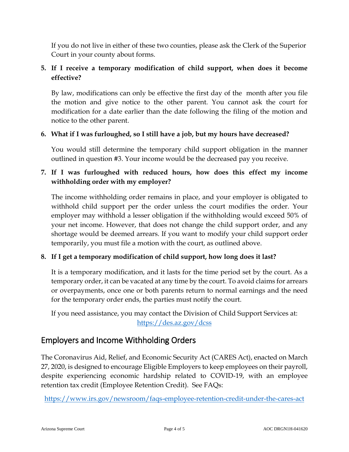If you do not live in either of these two counties, please ask the Clerk of the Superior Court in your county about forms.

# **5. If I receive a temporary modification of child support, when does it become effective?**

By law, modifications can only be effective the first day of the month after you file the motion and give notice to the other parent. You cannot ask the court for modification for a date earlier than the date following the filing of the motion and notice to the other parent.

#### **6. What if I was furloughed, so I still have a job, but my hours have decreased?**

You would still determine the temporary child support obligation in the manner outlined in question #3. Your income would be the decreased pay you receive.

# **7. If I was furloughed with reduced hours, how does this effect my income withholding order with my employer?**

The income withholding order remains in place, and your employer is obligated to withhold child support per the order unless the court modifies the order. Your employer may withhold a lesser obligation if the withholding would exceed 50% of your net income. However, that does not change the child support order, and any shortage would be deemed arrears. If you want to modify your child support order temporarily, you must file a motion with the court, as outlined above.

# **8. If I get a temporary modification of child support, how long does it last?**

It is a temporary modification, and it lasts for the time period set by the court. As a temporary order, it can be vacated at any time by the court. To avoid claims for arrears or overpayments, once one or both parents return to normal earnings and the need for the temporary order ends, the parties must notify the court.

If you need assistance, you may contact the Division of Child Support Services at: https://des.az.gov/dcss

# Employers and Income Withholding Orders

The Coronavirus Aid, Relief, and Economic Security Act (CARES Act), enacted on March 27, 2020, is designed to encourage Eligible Employers to keep employees on their payroll, despite experiencing economic hardship related to COVID-19, with an employee retention tax credit (Employee Retention Credit). See FAQs:

<https://www.irs.gov/newsroom/faqs-employee-retention-credit-under-the-cares-act>